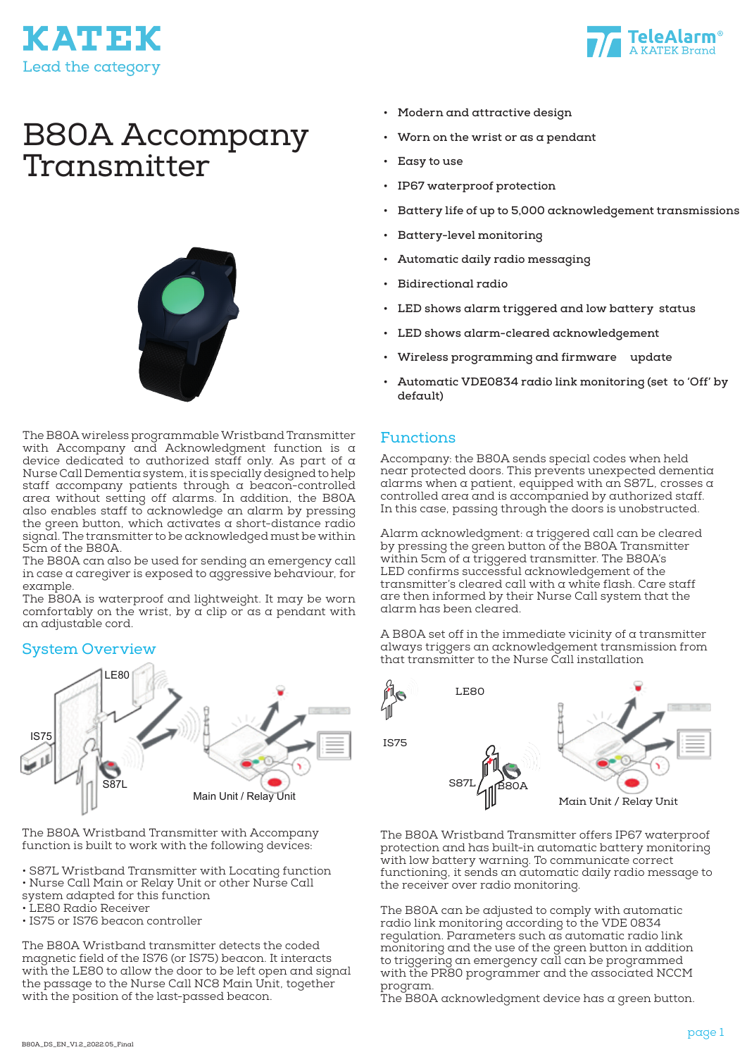



# B80A Accompany Transmitter



The B80A wireless programmable Wristband Transmitter with Accompany and Acknowledgment function is  $\alpha$ device dedicated to authorized staff only. As part of a Nurse Call Dementia system, it is specially designed to help staff accompany patients through a beacon-controlled area without setting off alarms. In addition, the B80A also enables staff to acknowledge an alarm by pressing the green button, which activates a short-distance radio signal. The transmitter to be acknowledged must be within 5cm of the B80A.

The B80A can also be used for sending an emergency call in case a caregiver is exposed to aggressive behaviour, for example.

The B80A is waterproof and lightweight. It may be worn comfortably on the wrist, by  $\alpha$  clip or as a pendant with an adjustable cord.

#### System Overview



The B80A Wristband Transmitter with Accompany function is built to work with the following devices:

- S87L Wristband Transmitter with Locating function
- Nurse Call Main or Relay Unit or other Nurse Call
- system adapted for this function
- LE80 Radio Receiver
- IS75 or IS76 beacon controller

The B80A Wristband transmitter detects the coded magnetic field of the IS76 (or IS75) beacon. It interacts with the LE80 to allow the door to be left open and signal the passage to the Nurse Call NC8 Main Unit, together with the position of the last-passed beacon.

- **• Modern and attractive design**
- **• Worn on the wrist or as a pendant**
- **• Easy to use**
- **• IP67 waterproof protection**
- **• Battery life of up to 5,000 acknowledgement transmissions**
- **• Battery-level monitoring**
- **• Automatic daily radio messaging**
- **• Bidirectional radio**
- **• LED shows alarm triggered and low battery status**
- **• LED shows alarm-cleared acknowledgement**
- **• Wireless programming and firmware update**
- **• Automatic VDE0834 radio link monitoring (set to 'Off' by default)**

#### Functions

Accompany: the B80A sends special codes when held near protected doors. This prevents unexpected dementia alarms when a patient, equipped with an S87L, crosses a controlled area and is accompanied by authorized staff. In this case, passing through the doors is unobstructed.

Alarm acknowledgment: a triggered call can be cleared by pressing the green button of the B80A Transmitter within 5cm of a triggered transmitter. The B80A's LED confirms successful acknowledgement of the transmitter's cleared call with a white flash. Care staff are then informed by their Nurse Call system that the alarm has been cleared.

A B80A set off in the immediate vicinity of a transmitter always triggers an acknowledgement transmission from that transmitter to the Nurse Call installation



The B80A Wristband Transmitter offers IP67 waterproof protection and has built-in automatic battery monitoring with low battery warning. To communicate correct functioning, it sends an automatic daily radio message to the receiver over radio monitoring.

The B80A can be adjusted to comply with automatic radio link monitoring according to the VDE 0834 regulation. Parameters such as automatic radio link monitoring and the use of the green button in addition to triggering an emergency call can be programmed with the PR80 programmer and the associated NCCM program.

The B80A acknowledgment device has a green button.